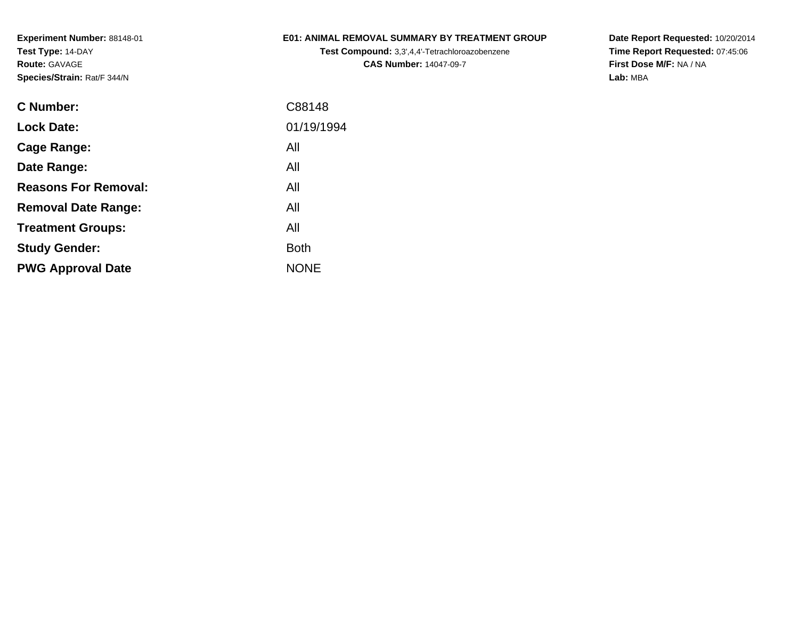#### **E01: ANIMAL REMOVAL SUMMARY BY TREATMENT GROUP**

**Test Compound:** 3,3',4,4'-Tetrachloroazobenzene**CAS Number:** 14047-09-7

**Date Report Requested:** 10/20/2014 **Time Report Requested:** 07:45:06**First Dose M/F:** NA / NA**Lab:** MBA

| C88148      |
|-------------|
| 01/19/1994  |
| All         |
| All         |
| All         |
| All         |
| All         |
| <b>Both</b> |
| <b>NONE</b> |
|             |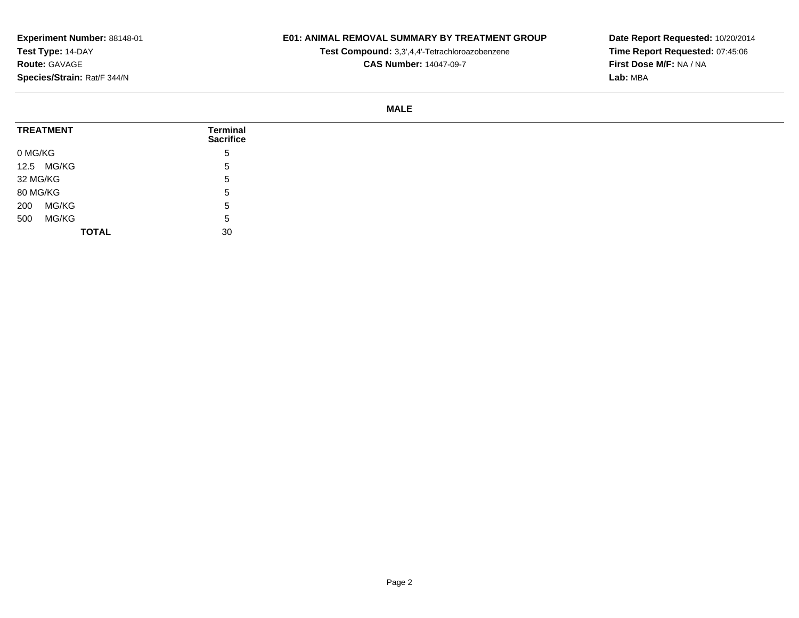## **E01: ANIMAL REMOVAL SUMMARY BY TREATMENT GROUP**

**Test Compound:** 3,3',4,4'-Tetrachloroazobenzene

**CAS Number:** 14047-09-7

**Date Report Requested:** 10/20/2014**Time Report Requested:** 07:45:06**First Dose M/F:** NA / NA**Lab:** MBA

#### **MALE**

| <b>TREATMENT</b> | Terminal<br><b>Sacrifice</b> |
|------------------|------------------------------|
| 0 MG/KG          | 5                            |
| 12.5 MG/KG       | <sub>5</sub>                 |
| 32 MG/KG         | 5                            |
| 80 MG/KG         | . ხ                          |
| MG/KG<br>200     | 5                            |
| MG/KG<br>500     | . ხ                          |
| <b>TOTAL</b>     | 30                           |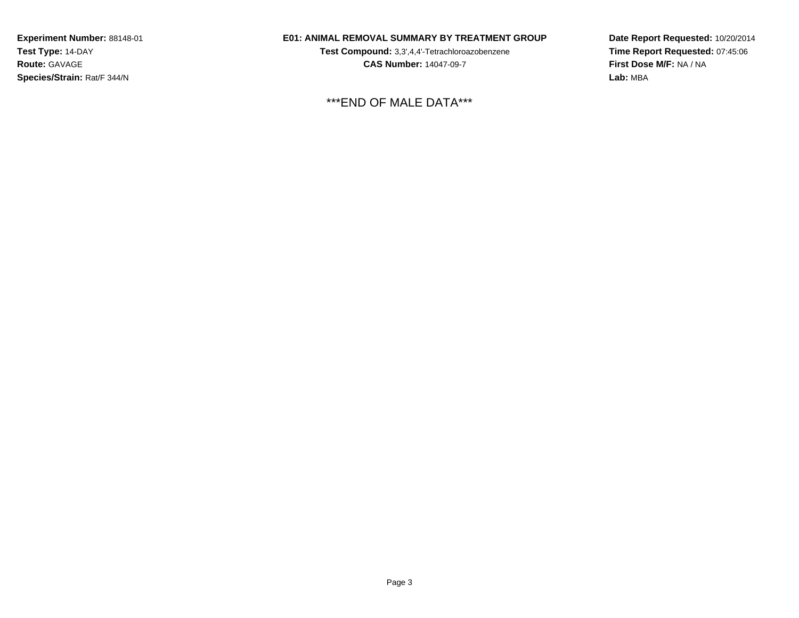## **E01: ANIMAL REMOVAL SUMMARY BY TREATMENT GROUP**

**Test Compound:** 3,3',4,4'-Tetrachloroazobenzene**CAS Number:** 14047-09-7

\*\*\*END OF MALE DATA\*\*\*

**Date Report Requested:** 10/20/2014**Time Report Requested:** 07:45:06**First Dose M/F:** NA / NA**Lab:** MBA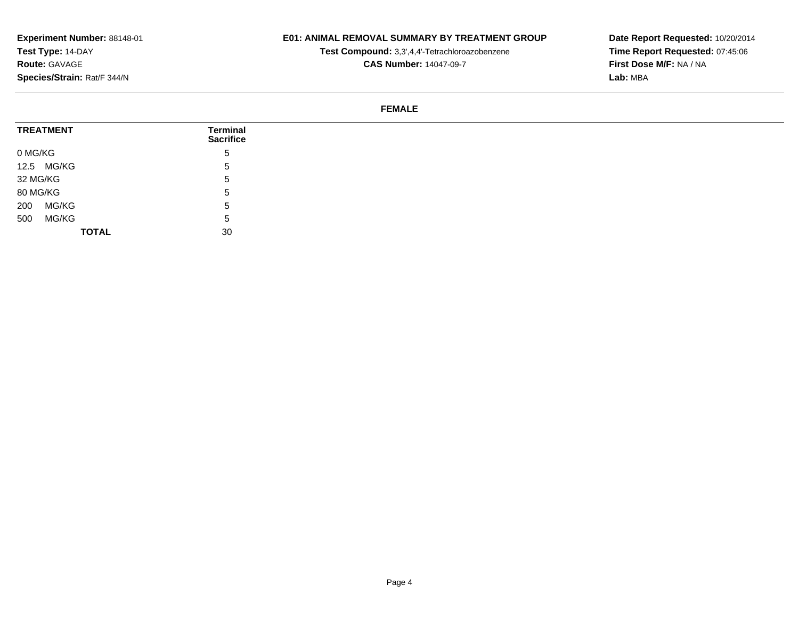## **E01: ANIMAL REMOVAL SUMMARY BY TREATMENT GROUP**

**Test Compound:** 3,3',4,4'-Tetrachloroazobenzene

**CAS Number:** 14047-09-7

**Date Report Requested:** 10/20/2014**Time Report Requested:** 07:45:06**First Dose M/F:** NA / NA**Lab:** MBA

#### **FEMALE**

| <b>TREATMENT</b> | Terminal<br><b>Sacrifice</b> |
|------------------|------------------------------|
| 0 MG/KG          | 5                            |
| 12.5 MG/KG       | 5                            |
| 32 MG/KG         | <sub>5</sub>                 |
| 80 MG/KG         | 5                            |
| MG/KG<br>200     | 5                            |
| MG/KG<br>500     | 5                            |
| <b>TOTAL</b>     | 30                           |